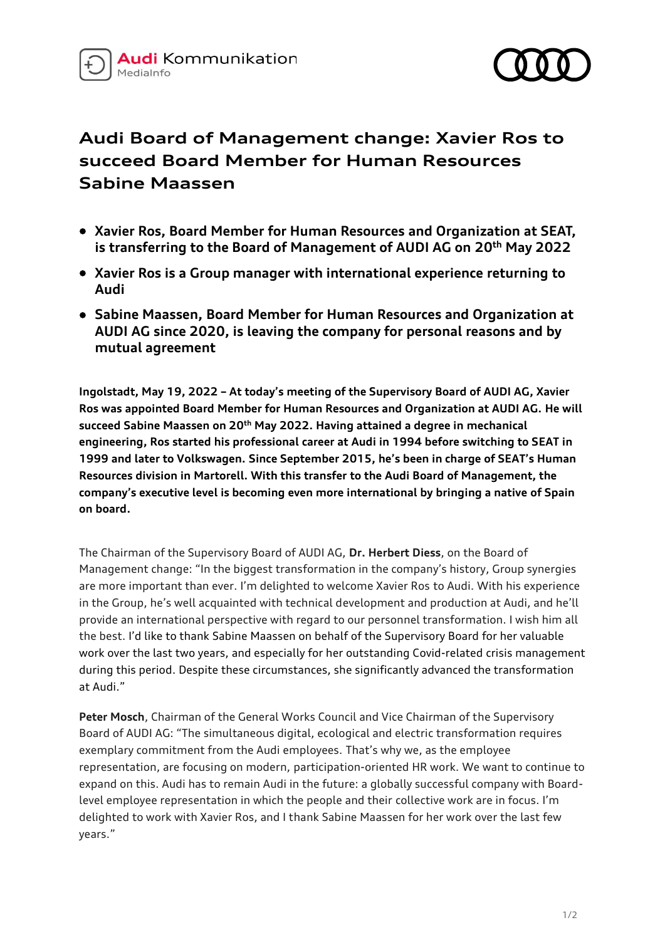



## **Audi Board of Management change: Xavier Ros to succeed Board Member for Human Resources Sabine Maassen**

- **Xavier Ros, Board Member for Human Resources and Organization at SEAT, is transferring to the Board of Management of AUDI AG on 20th May 2022**
- **Xavier Ros is a Group manager with international experience returning to Audi**
- **Sabine Maassen, Board Member for Human Resources and Organization at AUDI AG since 2020, is leaving the company for personal reasons and by mutual agreement**

**Ingolstadt, May 19, 2022 – At today's meeting of the Supervisory Board of AUDI AG, Xavier Ros was appointed Board Member for Human Resources and Organization at AUDI AG. He will succeed Sabine Maassen on 20th May 2022. Having attained a degree in mechanical engineering, Ros started his professional career at Audi in 1994 before switching to SEAT in 1999 and later to Volkswagen. Since September 2015, he's been in charge of SEAT's Human Resources division in Martorell. With this transfer to the Audi Board of Management, the company's executive level is becoming even more international by bringing a native of Spain on board.**

The Chairman of the Supervisory Board of AUDI AG, **Dr. Herbert Diess**, on the Board of Management change: "In the biggest transformation in the company's history, Group synergies are more important than ever. I'm delighted to welcome Xavier Ros to Audi. With his experience in the Group, he's well acquainted with technical development and production at Audi, and he'll provide an international perspective with regard to our personnel transformation. I wish him all the best. I'd like to thank Sabine Maassen on behalf of the Supervisory Board for her valuable work over the last two years, and especially for her outstanding Covid-related crisis management during this period. Despite these circumstances, she significantly advanced the transformation at Audi."

**Peter Mosch**, Chairman of the General Works Council and Vice Chairman of the Supervisory Board of AUDI AG: "The simultaneous digital, ecological and electric transformation requires exemplary commitment from the Audi employees. That's why we, as the employee representation, are focusing on modern, participation-oriented HR work. We want to continue to expand on this. Audi has to remain Audi in the future: a globally successful company with Boardlevel employee representation in which the people and their collective work are in focus. I'm delighted to work with Xavier Ros, and I thank Sabine Maassen for her work over the last few years."